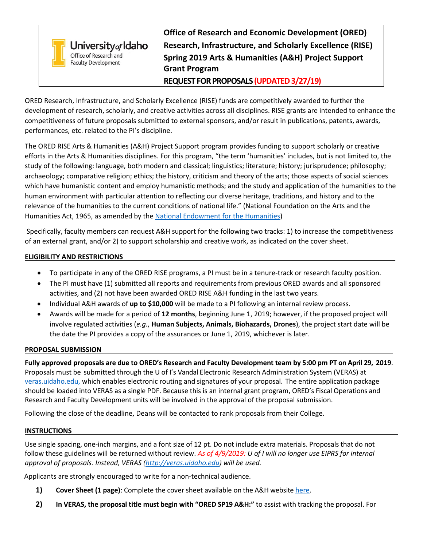|                                                      | <b>Office of Research and Economic Development (ORED)</b>          |
|------------------------------------------------------|--------------------------------------------------------------------|
| University <sub>of</sub> Idaho                       | Research, Infrastructure, and Scholarly Excellence (RISE)          |
| Office of Research and<br><b>Faculty Development</b> | <b>Spring 2019 Arts &amp; Humanities (A&amp;H) Project Support</b> |
|                                                      | <b>Grant Program</b>                                               |
|                                                      | REQUEST FOR PROPOSALS (UPDATED 3/27/19)                            |

ORED Research, Infrastructure, and Scholarly Excellence (RISE) funds are competitively awarded to further the development of research, scholarly, and creative activities across all disciplines. RISE grants are intended to enhance the competitiveness of future proposals submitted to external sponsors, and/or result in publications, patents, awards, performances, etc. related to the PI's discipline.

The ORED RISE Arts & Humanities (A&H) Project Support program provides funding to support scholarly or creative efforts in the Arts & Humanities disciplines. For this program, "the term 'humanities' includes, but is not limited to, the study of the following: language, both modern and classical; linguistics; literature; history; jurisprudence; philosophy; archaeology; comparative religion; ethics; the history, criticism and theory of the arts; those aspects of social sciences which have humanistic content and employ humanistic methods; and the study and application of the humanities to the human environment with particular attention to reflecting our diverse heritage, traditions, and history and to the relevance of the humanities to the current conditions of national life." (National Foundation on the Arts and the Humanities Act, 1965, as amended by th[e National Endowment for the Humanities\)](https://www.neh.gov/about)

Specifically, faculty members can request A&H support for the following two tracks: 1) to increase the competitiveness of an external grant, and/or 2) to support scholarship and creative work, as indicated on the cover sheet.

# **ELIGIBILITY AND RESTRICTIONS**\_\_\_\_\_\_\_\_\_\_\_\_\_\_\_\_\_\_\_\_\_\_\_\_\_\_\_\_\_\_\_\_\_\_\_\_\_\_\_\_\_\_\_\_\_\_\_\_\_\_\_\_\_\_\_\_\_\_\_\_\_\_\_\_\_\_\_\_\_\_\_\_

- To participate in any of the ORED RISE programs, a PI must be in a tenure-track or research faculty position.
- The PI must have (1) submitted all reports and requirements from previous ORED awards and all sponsored activities, and (2) not have been awarded ORED RISE A&H funding in the last two years.
- Individual A&H awards of **up to \$10,000** will be made to a PI following an internal review process.
- Awards will be made for a period of **12 months**, beginning June 1, 2019; however, if the proposed project will involve regulated activities (*e.g.*, **Human Subjects, Animals, Biohazards, Drones**), the project start date will be the date the PI provides a copy of the assurances or June 1, 2019, whichever is later.

# PROPOSAL SUBMISSION

**Fully approved proposals are due to ORED's Research and Faculty Development team by 5:00 pm PT on April 29, 2019**. Proposals must be submitted through the U of I's Vandal Electronic Research Administration System (VERAS) at [veras.uidaho.edu,](http://veras.uidaho.edu/) which enables electronic routing and signatures of your proposal. The entire application package should be loaded into VERAS as a single PDF. Because this is an internal grant program, ORED's Fiscal Operations and Research and Faculty Development units will be involved in the approval of the proposal submission.

Following the close of the deadline, Deans will be contacted to rank proposals from their College.

# **INSTRUCTIONS**

Use single spacing, one-inch margins, and a font size of 12 pt. Do not include extra materials. Proposals that do not follow these guidelines will be returned without review. *As of 4/9/2019: U of I will no longer use EIPRS for internal approval of proposals. Instead, VERAS [\(http://veras.uidaho.edu\)](http://veras.uidaho.edu/) will be used.*

Applicants are strongly encouraged to write for a non-technical audience.

- **1) Cover Sheet (1 page)**: Complete the cover sheet available on the A&H website [here.](https://www.uidaho.edu/-/media/UIdaho-Responsive/Files/research/faculty/find-funding/internal-funding/arts-and-humanities/sp2019ahcoversheet.pdf)
- **2) In VERAS, the proposal title must begin with "ORED SP19 A&H:"** to assist with tracking the proposal. For